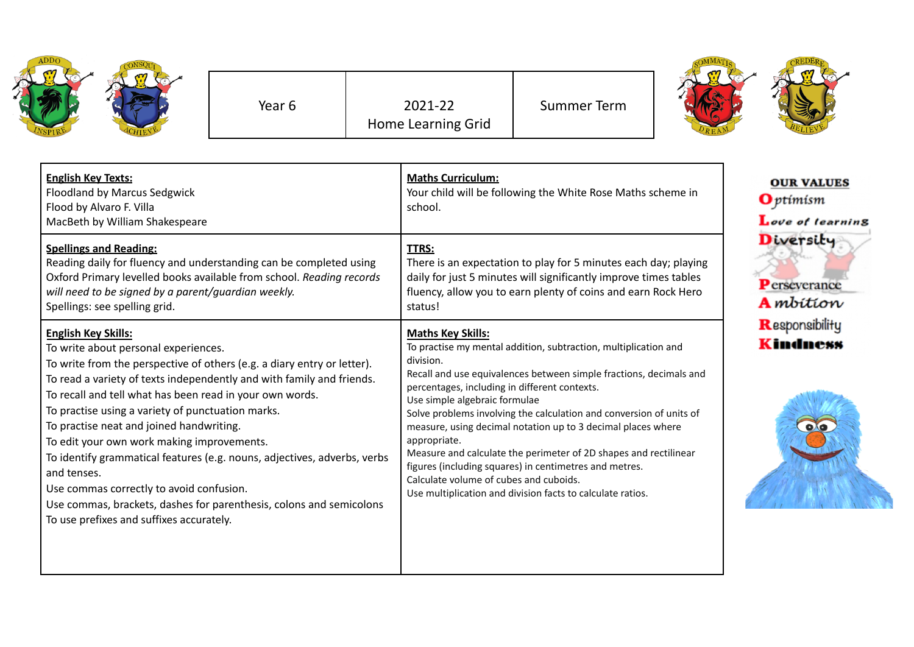| ADDO<br>z<br>SPIRE | <b>NSQUT</b> |
|--------------------|--------------|
|--------------------|--------------|

Year 6 2021-22 Home Learning Grid Summer Term



| <b>English Key Texts:</b><br><b>Floodland by Marcus Sedgwick</b><br>Flood by Alvaro F. Villa<br>MacBeth by William Shakespeare                                                                                                                                                                                                                                                                                                                                                                                                                                                                                                                                                              | <b>Maths Curriculum:</b><br>Your child will be following the White Rose Maths scheme in<br>school.                                                                                                                                                                                                                                                                                                                                                                                                                                                                                                                                                            | <b>OUR VALUES</b><br>$\mathbf{O}$ ptimism<br>Love of learning |
|---------------------------------------------------------------------------------------------------------------------------------------------------------------------------------------------------------------------------------------------------------------------------------------------------------------------------------------------------------------------------------------------------------------------------------------------------------------------------------------------------------------------------------------------------------------------------------------------------------------------------------------------------------------------------------------------|---------------------------------------------------------------------------------------------------------------------------------------------------------------------------------------------------------------------------------------------------------------------------------------------------------------------------------------------------------------------------------------------------------------------------------------------------------------------------------------------------------------------------------------------------------------------------------------------------------------------------------------------------------------|---------------------------------------------------------------|
| <b>Spellings and Reading:</b><br>Reading daily for fluency and understanding can be completed using<br>Oxford Primary levelled books available from school. Reading records<br>will need to be signed by a parent/guardian weekly.<br>Spellings: see spelling grid.                                                                                                                                                                                                                                                                                                                                                                                                                         | <b>TTRS:</b><br>There is an expectation to play for 5 minutes each day; playing<br>daily for just 5 minutes will significantly improve times tables<br>fluency, allow you to earn plenty of coins and earn Rock Hero<br>status!                                                                                                                                                                                                                                                                                                                                                                                                                               | Diversity<br>Perseverance<br><b>A</b> mbition                 |
| <b>English Key Skills:</b><br>To write about personal experiences.<br>To write from the perspective of others (e.g. a diary entry or letter).<br>To read a variety of texts independently and with family and friends.<br>To recall and tell what has been read in your own words.<br>To practise using a variety of punctuation marks.<br>To practise neat and joined handwriting.<br>To edit your own work making improvements.<br>To identify grammatical features (e.g. nouns, adjectives, adverbs, verbs<br>and tenses.<br>Use commas correctly to avoid confusion.<br>Use commas, brackets, dashes for parenthesis, colons and semicolons<br>To use prefixes and suffixes accurately. | <b>Maths Key Skills:</b><br>To practise my mental addition, subtraction, multiplication and<br>division.<br>Recall and use equivalences between simple fractions, decimals and<br>percentages, including in different contexts.<br>Use simple algebraic formulae<br>Solve problems involving the calculation and conversion of units of<br>measure, using decimal notation up to 3 decimal places where<br>appropriate.<br>Measure and calculate the perimeter of 2D shapes and rectilinear<br>figures (including squares) in centimetres and metres.<br>Calculate volume of cubes and cuboids.<br>Use multiplication and division facts to calculate ratios. | Responsibility<br><b>Kindness</b>                             |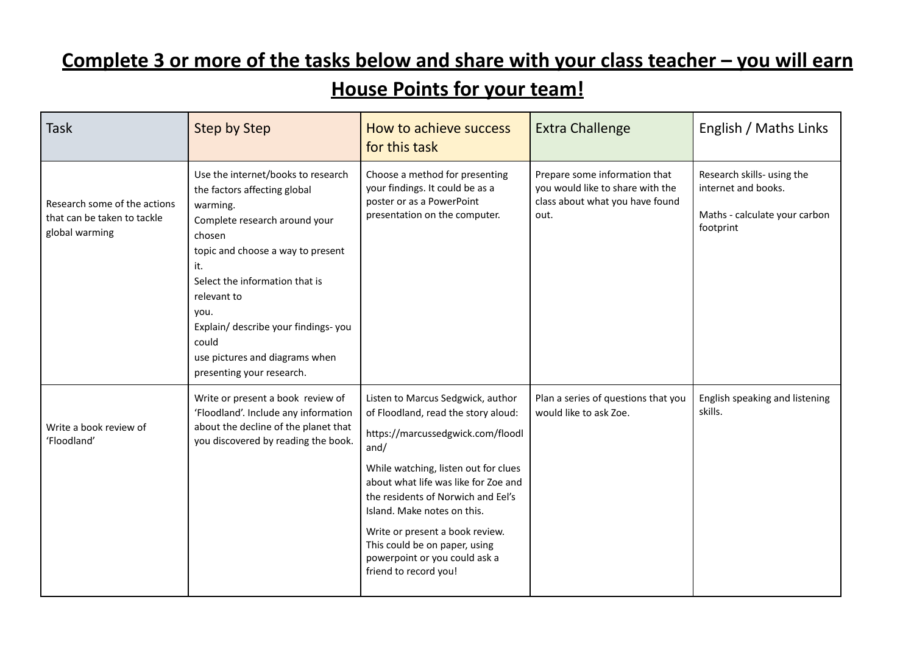## **Complete 3 or more of the tasks below and share with your class teacher – you will earn**

## **House Points for your team!**

| <b>Task</b>                                                                   | <b>Step by Step</b>                                                                                                                                                                                                                                                                                                                           | How to achieve success<br>for this task                                                                                                                                                                                                                                                                                                                                                                  | <b>Extra Challenge</b>                                                                                       | English / Maths Links                                                                           |
|-------------------------------------------------------------------------------|-----------------------------------------------------------------------------------------------------------------------------------------------------------------------------------------------------------------------------------------------------------------------------------------------------------------------------------------------|----------------------------------------------------------------------------------------------------------------------------------------------------------------------------------------------------------------------------------------------------------------------------------------------------------------------------------------------------------------------------------------------------------|--------------------------------------------------------------------------------------------------------------|-------------------------------------------------------------------------------------------------|
| Research some of the actions<br>that can be taken to tackle<br>global warming | Use the internet/books to research<br>the factors affecting global<br>warming.<br>Complete research around your<br>chosen<br>topic and choose a way to present<br>it.<br>Select the information that is<br>relevant to<br>you.<br>Explain/ describe your findings-you<br>could<br>use pictures and diagrams when<br>presenting your research. | Choose a method for presenting<br>your findings. It could be as a<br>poster or as a PowerPoint<br>presentation on the computer.                                                                                                                                                                                                                                                                          | Prepare some information that<br>you would like to share with the<br>class about what you have found<br>out. | Research skills- using the<br>internet and books.<br>Maths - calculate your carbon<br>footprint |
| Write a book review of<br>'Floodland'                                         | Write or present a book review of<br>'Floodland'. Include any information<br>about the decline of the planet that<br>you discovered by reading the book.                                                                                                                                                                                      | Listen to Marcus Sedgwick, author<br>of Floodland, read the story aloud:<br>https://marcussedgwick.com/floodl<br>and/<br>While watching, listen out for clues<br>about what life was like for Zoe and<br>the residents of Norwich and Eel's<br>Island. Make notes on this.<br>Write or present a book review.<br>This could be on paper, using<br>powerpoint or you could ask a<br>friend to record you! | Plan a series of questions that you<br>would like to ask Zoe.                                                | English speaking and listening<br>skills.                                                       |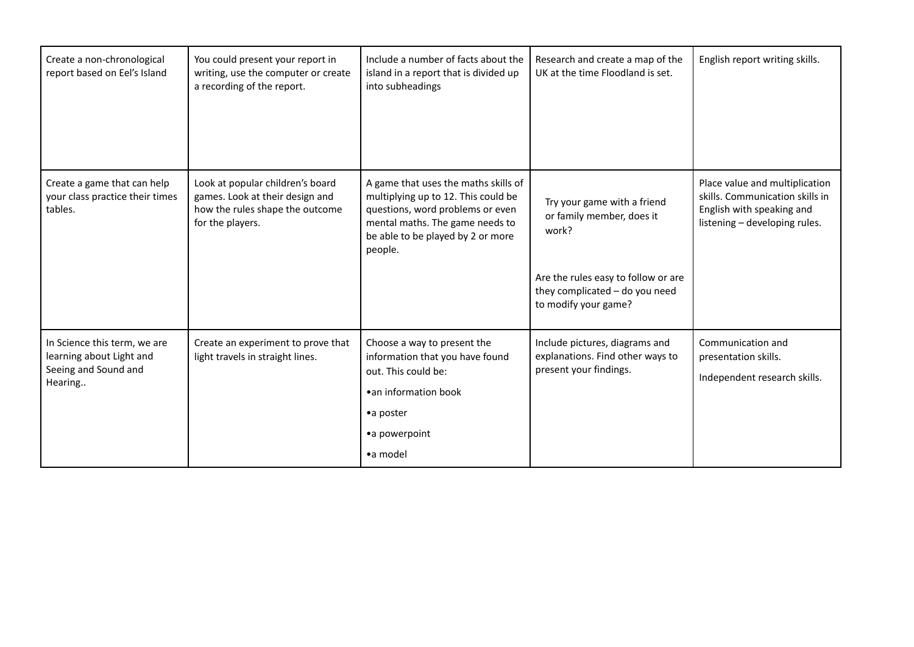| Create a non-chronological<br>report based on Eel's Island                                  | You could present your report in<br>writing, use the computer or create<br>a recording of the report.                      | Include a number of facts about the<br>island in a report that is divided up<br>into subheadings                                                                                                   | Research and create a map of the<br>UK at the time Floodland is set.                                                                                               | English report writing skills.                                                                                                  |
|---------------------------------------------------------------------------------------------|----------------------------------------------------------------------------------------------------------------------------|----------------------------------------------------------------------------------------------------------------------------------------------------------------------------------------------------|--------------------------------------------------------------------------------------------------------------------------------------------------------------------|---------------------------------------------------------------------------------------------------------------------------------|
| Create a game that can help<br>your class practice their times<br>tables.                   | Look at popular children's board<br>games. Look at their design and<br>how the rules shape the outcome<br>for the players. | A game that uses the maths skills of<br>multiplying up to 12. This could be<br>questions, word problems or even<br>mental maths. The game needs to<br>be able to be played by 2 or more<br>people. | Try your game with a friend<br>or family member, does it<br>work?<br>Are the rules easy to follow or are<br>they complicated - do you need<br>to modify your game? | Place value and multiplication<br>skills. Communication skills in<br>English with speaking and<br>listening - developing rules. |
| In Science this term, we are<br>learning about Light and<br>Seeing and Sound and<br>Hearing | Create an experiment to prove that<br>light travels in straight lines.                                                     | Choose a way to present the<br>information that you have found<br>out. This could be:<br>• an information book<br>•a poster<br>•a powerpoint<br>•a model                                           | Include pictures, diagrams and<br>explanations. Find other ways to<br>present your findings.                                                                       | Communication and<br>presentation skills.<br>Independent research skills.                                                       |